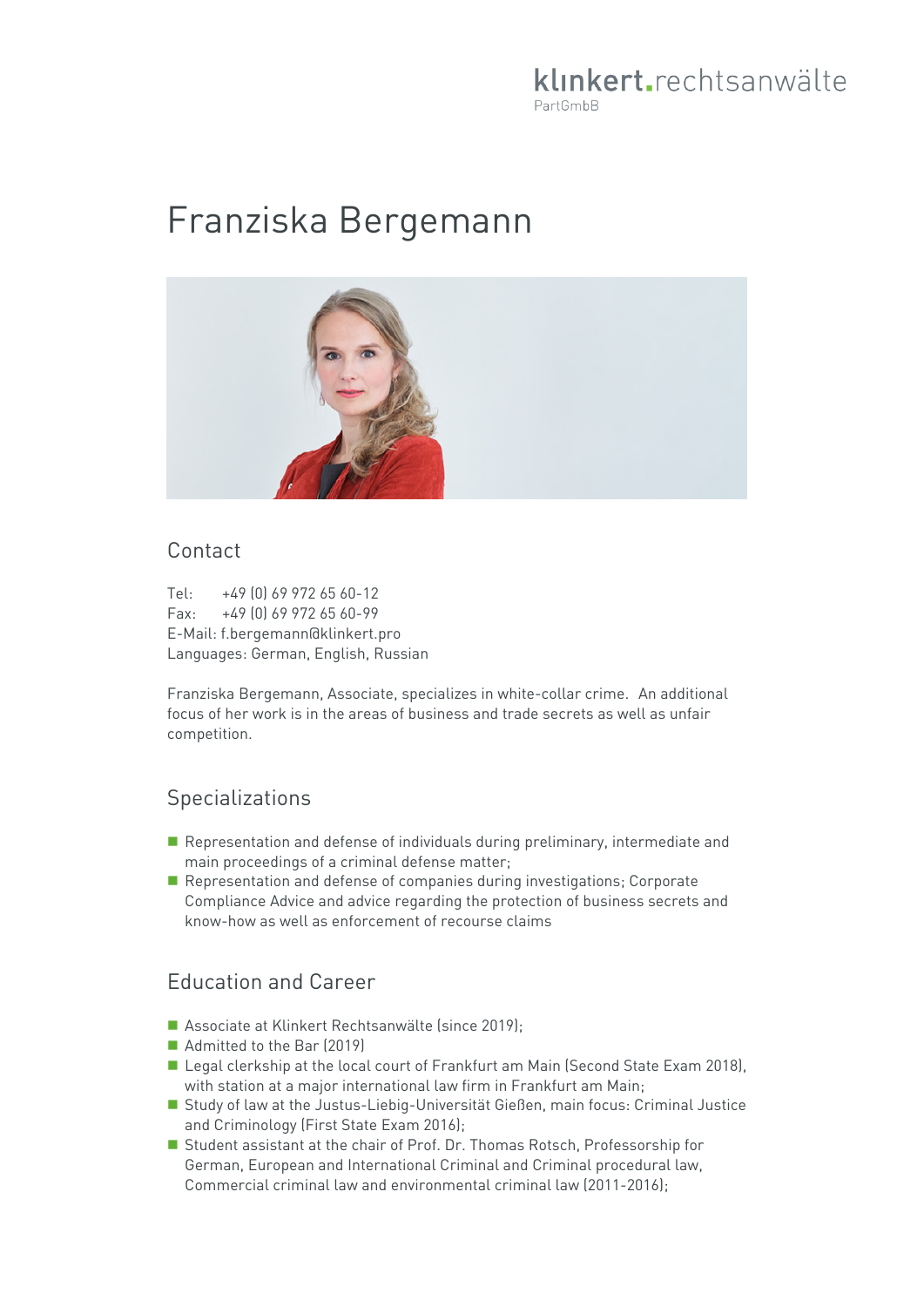## klinkert.rechtsanwälte PartGmbB

# Franziska Bergemann



#### Contact

Tel: +49 (0) 69 972 65 60-12 Fax: +49 (0) 69 972 65 60-99 E-Mail: f.bergemann@klinkert.pro Languages: German, English, Russian

Franziska Bergemann, Associate, specializes in white-collar crime. An additional focus of her work is in the areas of business and trade secrets as well as unfair competition.

### Specializations

- Representation and defense of individuals during preliminary, intermediate and main proceedings of a criminal defense matter;
- Representation and defense of companies during investigations; Corporate Compliance Advice and advice regarding the protection of business secrets and know-how as well as enforcement of recourse claims

## Education and Career

- Associate at Klinkert Rechtsanwälte (since 2019);
- Admitted to the Bar (2019)
- Legal clerkship at the local court of Frankfurt am Main (Second State Exam 2018), with station at a major international law firm in Frankfurt am Main;
- Study of law at the Justus-Liebig-Universität Gießen, main focus: Criminal Justice and Criminology (First State Exam 2016);
- Student assistant at the chair of Prof. Dr. Thomas Rotsch, Professorship for German, European and International Criminal and Criminal procedural law, Commercial criminal law and environmental criminal law (2011-2016);